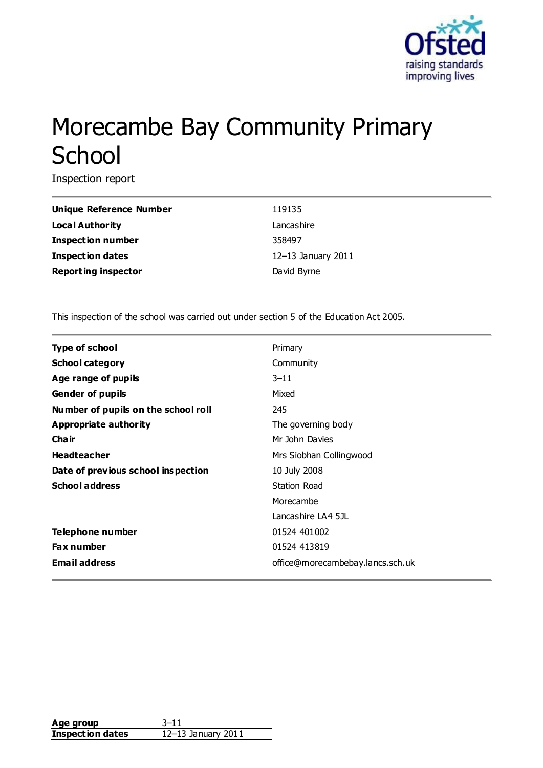

# Morecambe Bay Community Primary **School**

Inspection report

| Unique Reference Number    | 119135             |
|----------------------------|--------------------|
| Local Authority            | Lancashire         |
| Inspection number          | 358497             |
| <b>Inspection dates</b>    | 12-13 January 2011 |
| <b>Reporting inspector</b> | David Byrne        |

This inspection of the school was carried out under section 5 of the Education Act 2005.

| <b>Type of school</b>               | Primary                          |
|-------------------------------------|----------------------------------|
| <b>School category</b>              | Community                        |
| Age range of pupils                 | $3 - 11$                         |
| <b>Gender of pupils</b>             | Mixed                            |
| Number of pupils on the school roll | 245                              |
| Appropriate authority               | The governing body               |
| Cha ir                              | Mr John Davies                   |
| <b>Headteacher</b>                  | Mrs Siobhan Collingwood          |
| Date of previous school inspection  | 10 July 2008                     |
| <b>School address</b>               | Station Road                     |
|                                     | Morecambe                        |
|                                     | Lancashire LA4 5JL               |
| Telephone number                    | 01524 401002                     |
| <b>Fax number</b>                   | 01524 413819                     |
| <b>Email address</b>                | office@morecambebay.lancs.sch.uk |

| Age group               |                    |
|-------------------------|--------------------|
| <b>Inspection dates</b> | 12-13 January 2011 |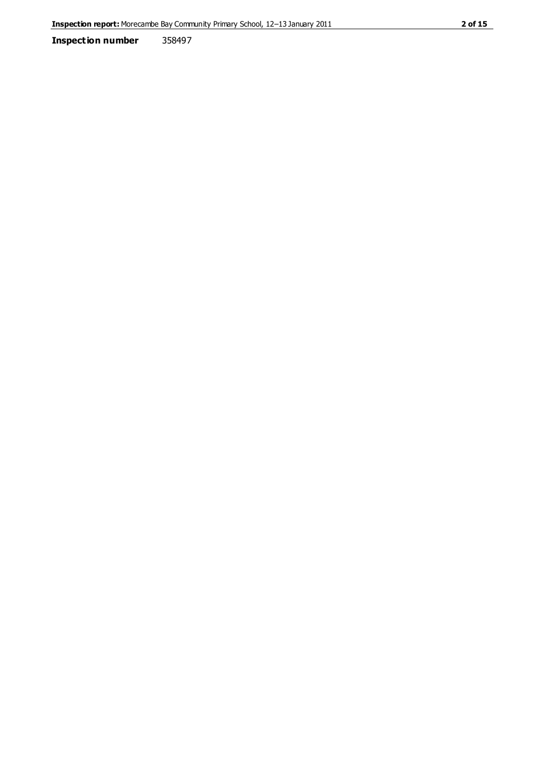**Inspection number** 358497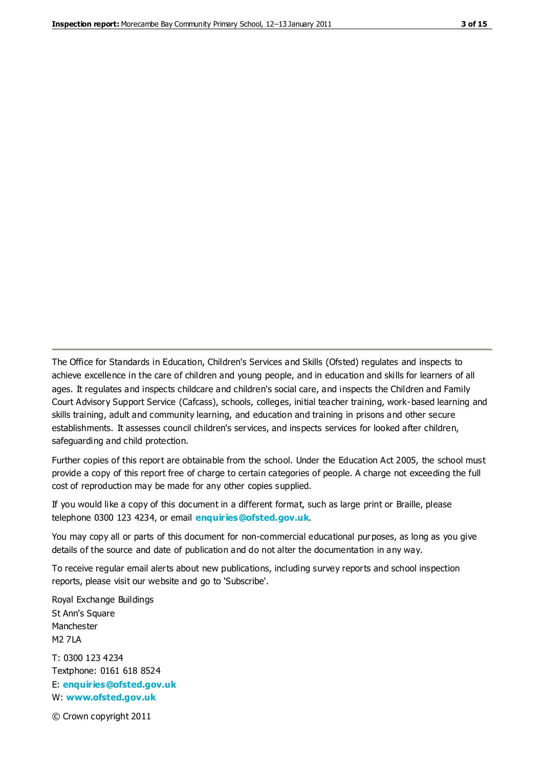The Office for Standards in Education, Children's Services and Skills (Ofsted) regulates and inspects to achieve excellence in the care of children and young people, and in education and skills for learners of all ages. It regulates and inspects childcare and children's social care, and inspects the Children and Family Court Advisory Support Service (Cafcass), schools, colleges, initial teacher training, work-based learning and skills training, adult and community learning, and education and training in prisons and other secure establishments. It assesses council children's services, and inspects services for looked after children, safeguarding and child protection.

Further copies of this report are obtainable from the school. Under the Education Act 2005, the school must provide a copy of this report free of charge to certain categories of people. A charge not exceeding the full cost of reproduction may be made for any other copies supplied.

If you would like a copy of this document in a different format, such as large print or Braille, please telephone 0300 123 4234, or email **[enquiries@ofsted.gov.uk](mailto:enquiries@ofsted.gov.uk)**.

You may copy all or parts of this document for non-commercial educational purposes, as long as you give details of the source and date of publication and do not alter the documentation in any way.

To receive regular email alerts about new publications, including survey reports and school inspection reports, please visit our website and go to 'Subscribe'.

Royal Exchange Buildings St Ann's Square Manchester M2 7LA T: 0300 123 4234 Textphone: 0161 618 8524 E: **[enquiries@ofsted.gov.uk](mailto:enquiries@ofsted.gov.uk)**

W: **[www.ofsted.gov.uk](http://www.ofsted.gov.uk/)**

© Crown copyright 2011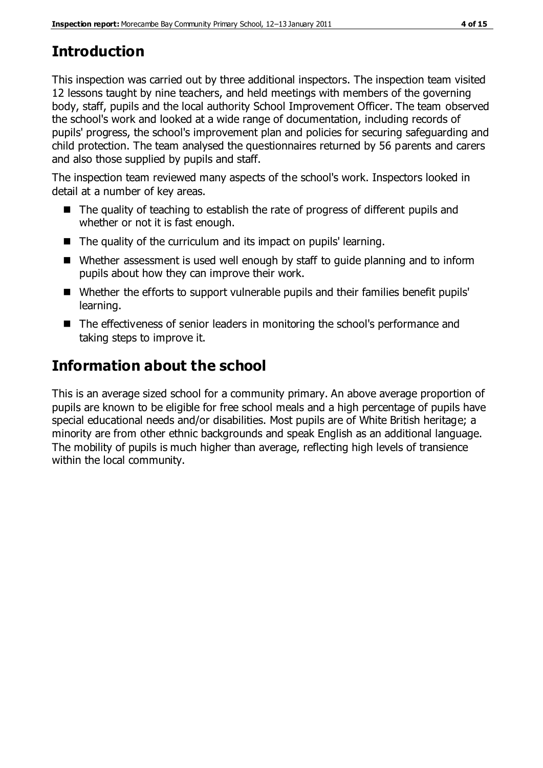# **Introduction**

This inspection was carried out by three additional inspectors. The inspection team visited 12 lessons taught by nine teachers, and held meetings with members of the governing body, staff, pupils and the local authority School Improvement Officer. The team observed the school's work and looked at a wide range of documentation, including records of pupils' progress, the school's improvement plan and policies for securing safeguarding and child protection. The team analysed the questionnaires returned by 56 parents and carers and also those supplied by pupils and staff.

The inspection team reviewed many aspects of the school's work. Inspectors looked in detail at a number of key areas.

- The quality of teaching to establish the rate of progress of different pupils and whether or not it is fast enough.
- The quality of the curriculum and its impact on pupils' learning.
- Whether assessment is used well enough by staff to quide planning and to inform pupils about how they can improve their work.
- Whether the efforts to support vulnerable pupils and their families benefit pupils' learning.
- The effectiveness of senior leaders in monitoring the school's performance and taking steps to improve it.

# **Information about the school**

This is an average sized school for a community primary. An above average proportion of pupils are known to be eligible for free school meals and a high percentage of pupils have special educational needs and/or disabilities. Most pupils are of White British heritage; a minority are from other ethnic backgrounds and speak English as an additional language. The mobility of pupils is much higher than average, reflecting high levels of transience within the local community.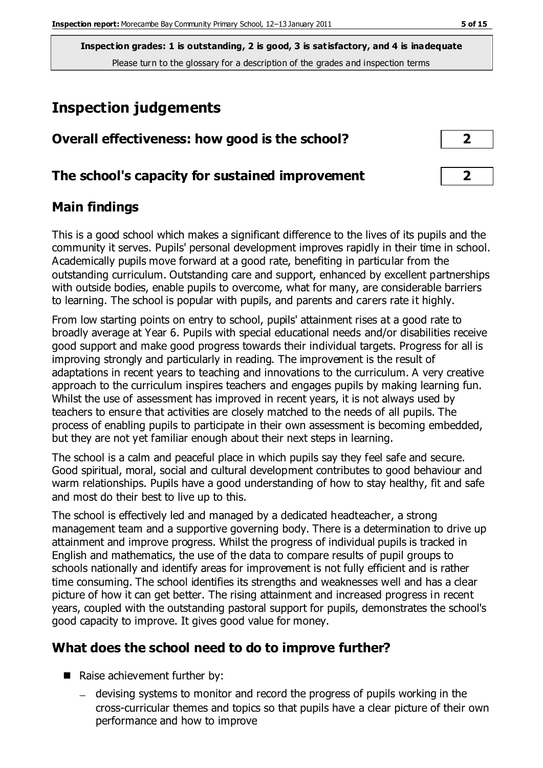# **Inspection judgements**

| Overall effectiveness: how good is the school?  |  |
|-------------------------------------------------|--|
| The school's capacity for sustained improvement |  |

## **Main findings**

This is a good school which makes a significant difference to the lives of its pupils and the community it serves. Pupils' personal development improves rapidly in their time in school. Academically pupils move forward at a good rate, benefiting in particular from the outstanding curriculum. Outstanding care and support, enhanced by excellent partnerships with outside bodies, enable pupils to overcome, what for many, are considerable barriers to learning. The school is popular with pupils, and parents and carers rate it highly.

From low starting points on entry to school, pupils' attainment rises at a good rate to broadly average at Year 6. Pupils with special educational needs and/or disabilities receive good support and make good progress towards their individual targets. Progress for all is improving strongly and particularly in reading. The improvement is the result of adaptations in recent years to teaching and innovations to the curriculum. A very creative approach to the curriculum inspires teachers and engages pupils by making learning fun. Whilst the use of assessment has improved in recent years, it is not always used by teachers to ensure that activities are closely matched to the needs of all pupils. The process of enabling pupils to participate in their own assessment is becoming embedded, but they are not yet familiar enough about their next steps in learning.

The school is a calm and peaceful place in which pupils say they feel safe and secure. Good spiritual, moral, social and cultural development contributes to good behaviour and warm relationships. Pupils have a good understanding of how to stay healthy, fit and safe and most do their best to live up to this.

The school is effectively led and managed by a dedicated headteacher, a strong management team and a supportive governing body. There is a determination to drive up attainment and improve progress. Whilst the progress of individual pupils is tracked in English and mathematics, the use of the data to compare results of pupil groups to schools nationally and identify areas for improvement is not fully efficient and is rather time consuming. The school identifies its strengths and weaknesses well and has a clear picture of how it can get better. The rising attainment and increased progress in recent years, coupled with the outstanding pastoral support for pupils, demonstrates the school's good capacity to improve. It gives good value for money.

# **What does the school need to do to improve further?**

- Raise achievement further by:
	- devising systems to monitor and record the progress of pupils working in the cross-curricular themes and topics so that pupils have a clear picture of their own performance and how to improve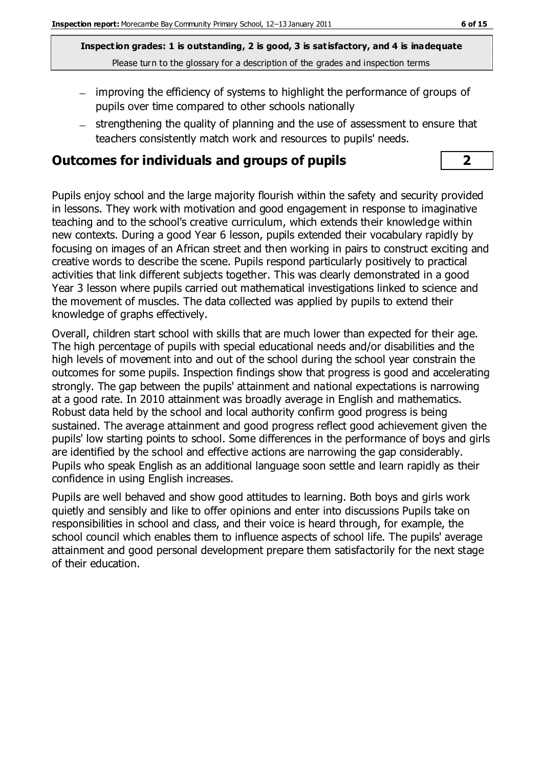- improving the efficiency of systems to highlight the performance of groups of pupils over time compared to other schools nationally
- strengthening the quality of planning and the use of assessment to ensure that teachers consistently match work and resources to pupils' needs.

## **Outcomes for individuals and groups of pupils 2**

Pupils enjoy school and the large majority flourish within the safety and security provided in lessons. They work with motivation and good engagement in response to imaginative teaching and to the school's creative curriculum, which extends their knowledge within new contexts. During a good Year 6 lesson, pupils extended their vocabulary rapidly by focusing on images of an African street and then working in pairs to construct exciting and creative words to describe the scene. Pupils respond particularly positively to practical activities that link different subjects together. This was clearly demonstrated in a good Year 3 lesson where pupils carried out mathematical investigations linked to science and the movement of muscles. The data collected was applied by pupils to extend their knowledge of graphs effectively.

Overall, children start school with skills that are much lower than expected for their age. The high percentage of pupils with special educational needs and/or disabilities and the high levels of movement into and out of the school during the school year constrain the outcomes for some pupils. Inspection findings show that progress is good and accelerating strongly. The gap between the pupils' attainment and national expectations is narrowing at a good rate. In 2010 attainment was broadly average in English and mathematics. Robust data held by the school and local authority confirm good progress is being sustained. The average attainment and good progress reflect good achievement given the pupils' low starting points to school. Some differences in the performance of boys and girls are identified by the school and effective actions are narrowing the gap considerably. Pupils who speak English as an additional language soon settle and learn rapidly as their confidence in using English increases.

Pupils are well behaved and show good attitudes to learning. Both boys and girls work quietly and sensibly and like to offer opinions and enter into discussions Pupils take on responsibilities in school and class, and their voice is heard through, for example, the school council which enables them to influence aspects of school life. The pupils' average attainment and good personal development prepare them satisfactorily for the next stage of their education.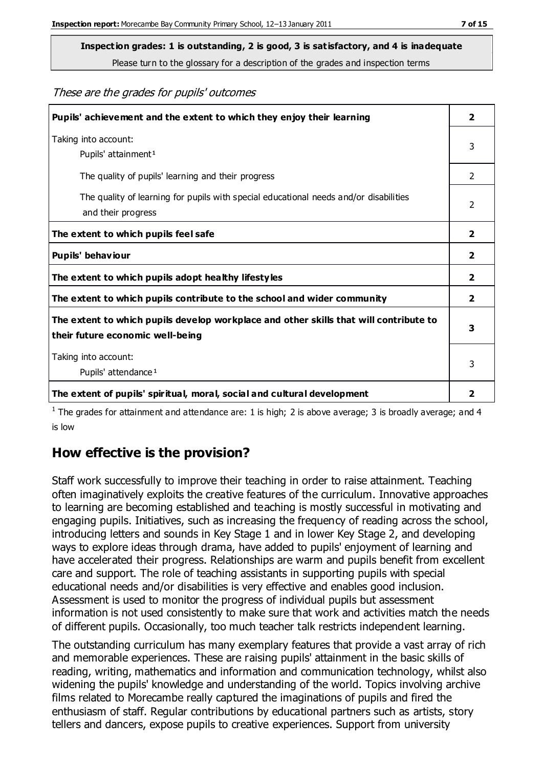**Inspection grades: 1 is outstanding, 2 is good, 3 is satisfactory, and 4 is inadequate**

Please turn to the glossary for a description of the grades and inspection terms

These are the grades for pupils' outcomes

| Pupils' achievement and the extent to which they enjoy their learning                                                     | $\overline{2}$ |
|---------------------------------------------------------------------------------------------------------------------------|----------------|
| Taking into account:<br>Pupils' attainment <sup>1</sup>                                                                   | 3              |
| The quality of pupils' learning and their progress                                                                        | $\mathcal{P}$  |
| The quality of learning for pupils with special educational needs and/or disabilities<br>and their progress               | $\mathcal{P}$  |
| The extent to which pupils feel safe                                                                                      | $\overline{2}$ |
| Pupils' behaviour                                                                                                         | 2              |
| The extent to which pupils adopt healthy lifestyles                                                                       | 2              |
| The extent to which pupils contribute to the school and wider community                                                   | $\overline{2}$ |
| The extent to which pupils develop workplace and other skills that will contribute to<br>their future economic well-being | 3              |
| Taking into account:<br>Pupils' attendance <sup>1</sup>                                                                   | 3              |
| The extent of pupils' spiritual, moral, social and cultural development                                                   | 2              |

<sup>1</sup> The grades for attainment and attendance are: 1 is high; 2 is above average; 3 is broadly average; and 4 is low

# **How effective is the provision?**

Staff work successfully to improve their teaching in order to raise attainment. Teaching often imaginatively exploits the creative features of the curriculum. Innovative approaches to learning are becoming established and teaching is mostly successful in motivating and engaging pupils. Initiatives, such as increasing the frequency of reading across the school, introducing letters and sounds in Key Stage 1 and in lower Key Stage 2, and developing ways to explore ideas through drama, have added to pupils' enjoyment of learning and have accelerated their progress. Relationships are warm and pupils benefit from excellent care and support. The role of teaching assistants in supporting pupils with special educational needs and/or disabilities is very effective and enables good inclusion. Assessment is used to monitor the progress of individual pupils but assessment information is not used consistently to make sure that work and activities match the needs of different pupils. Occasionally, too much teacher talk restricts independent learning.

The outstanding curriculum has many exemplary features that provide a vast array of rich and memorable experiences. These are raising pupils' attainment in the basic skills of reading, writing, mathematics and information and communication technology, whilst also widening the pupils' knowledge and understanding of the world. Topics involving archive films related to Morecambe really captured the imaginations of pupils and fired the enthusiasm of staff. Regular contributions by educational partners such as artists, story tellers and dancers, expose pupils to creative experiences. Support from university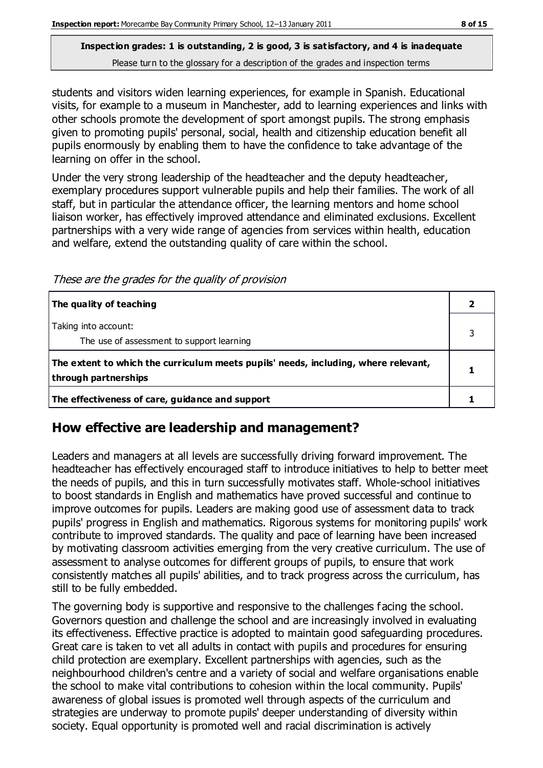students and visitors widen learning experiences, for example in Spanish. Educational visits, for example to a museum in Manchester, add to learning experiences and links with other schools promote the development of sport amongst pupils. The strong emphasis given to promoting pupils' personal, social, health and citizenship education benefit all pupils enormously by enabling them to have the confidence to take advantage of the learning on offer in the school.

Under the very strong leadership of the headteacher and the deputy headteacher, exemplary procedures support vulnerable pupils and help their families. The work of all staff, but in particular the attendance officer, the learning mentors and home school liaison worker, has effectively improved attendance and eliminated exclusions. Excellent partnerships with a very wide range of agencies from services within health, education and welfare, extend the outstanding quality of care within the school.

These are the grades for the quality of provision

| The quality of teaching                                                                                    |  |
|------------------------------------------------------------------------------------------------------------|--|
| Taking into account:<br>The use of assessment to support learning                                          |  |
| The extent to which the curriculum meets pupils' needs, including, where relevant,<br>through partnerships |  |
| The effectiveness of care, guidance and support                                                            |  |

## **How effective are leadership and management?**

Leaders and managers at all levels are successfully driving forward improvement. The headteacher has effectively encouraged staff to introduce initiatives to help to better meet the needs of pupils, and this in turn successfully motivates staff. Whole-school initiatives to boost standards in English and mathematics have proved successful and continue to improve outcomes for pupils. Leaders are making good use of assessment data to track pupils' progress in English and mathematics. Rigorous systems for monitoring pupils' work contribute to improved standards. The quality and pace of learning have been increased by motivating classroom activities emerging from the very creative curriculum. The use of assessment to analyse outcomes for different groups of pupils, to ensure that work consistently matches all pupils' abilities, and to track progress across the curriculum, has still to be fully embedded.

The governing body is supportive and responsive to the challenges facing the school. Governors question and challenge the school and are increasingly involved in evaluating its effectiveness. Effective practice is adopted to maintain good safeguarding procedures. Great care is taken to vet all adults in contact with pupils and procedures for ensuring child protection are exemplary. Excellent partnerships with agencies, such as the neighbourhood children's centre and a variety of social and welfare organisations enable the school to make vital contributions to cohesion within the local community. Pupils' awareness of global issues is promoted well through aspects of the curriculum and strategies are underway to promote pupils' deeper understanding of diversity within society. Equal opportunity is promoted well and racial discrimination is actively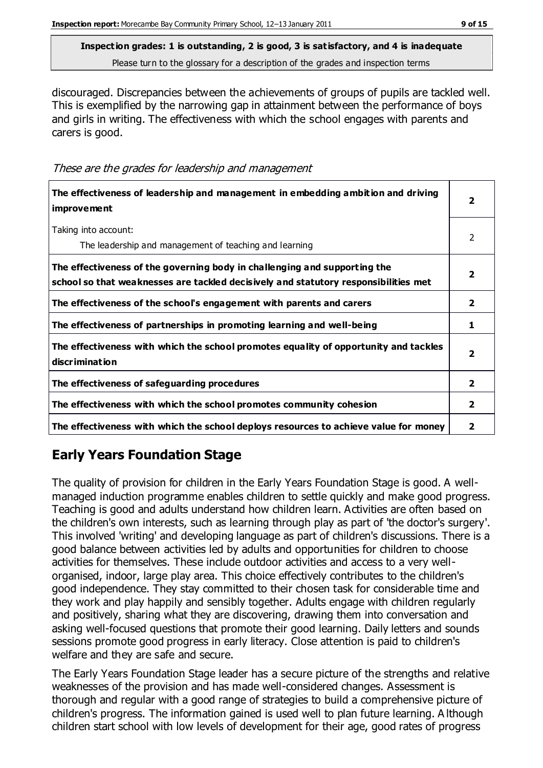discouraged. Discrepancies between the achievements of groups of pupils are tackled well. This is exemplified by the narrowing gap in attainment between the performance of boys and girls in writing. The effectiveness with which the school engages with parents and carers is good.

These are the grades for leadership and management

| The effectiveness of leadership and management in embedding ambition and driving<br><i>improvement</i>                                                           |                         |
|------------------------------------------------------------------------------------------------------------------------------------------------------------------|-------------------------|
| Taking into account:<br>The leadership and management of teaching and learning                                                                                   | $\mathcal{P}$           |
| The effectiveness of the governing body in challenging and supporting the<br>school so that weaknesses are tackled decisively and statutory responsibilities met | $\mathbf{2}$            |
| The effectiveness of the school's engagement with parents and carers                                                                                             | $\overline{2}$          |
| The effectiveness of partnerships in promoting learning and well-being                                                                                           | 1                       |
| The effectiveness with which the school promotes equality of opportunity and tackles<br>discrimination                                                           | $\overline{\mathbf{2}}$ |
| The effectiveness of safeguarding procedures                                                                                                                     | $\mathbf{2}$            |
| The effectiveness with which the school promotes community cohesion                                                                                              | $\mathbf{2}$            |
| The effectiveness with which the school deploys resources to achieve value for money                                                                             | 2                       |

# **Early Years Foundation Stage**

The quality of provision for children in the Early Years Foundation Stage is good. A wellmanaged induction programme enables children to settle quickly and make good progress. Teaching is good and adults understand how children learn. Activities are often based on the children's own interests, such as learning through play as part of 'the doctor's surgery'. This involved 'writing' and developing language as part of children's discussions. There is a good balance between activities led by adults and opportunities for children to choose activities for themselves. These include outdoor activities and access to a very wellorganised, indoor, large play area. This choice effectively contributes to the children's good independence. They stay committed to their chosen task for considerable time and they work and play happily and sensibly together. Adults engage with children regularly and positively, sharing what they are discovering, drawing them into conversation and asking well-focused questions that promote their good learning. Daily letters and sounds sessions promote good progress in early literacy. Close attention is paid to children's welfare and they are safe and secure.

The Early Years Foundation Stage leader has a secure picture of the strengths and relative weaknesses of the provision and has made well-considered changes. Assessment is thorough and regular with a good range of strategies to build a comprehensive picture of children's progress. The information gained is used well to plan future learning. A lthough children start school with low levels of development for their age, good rates of progress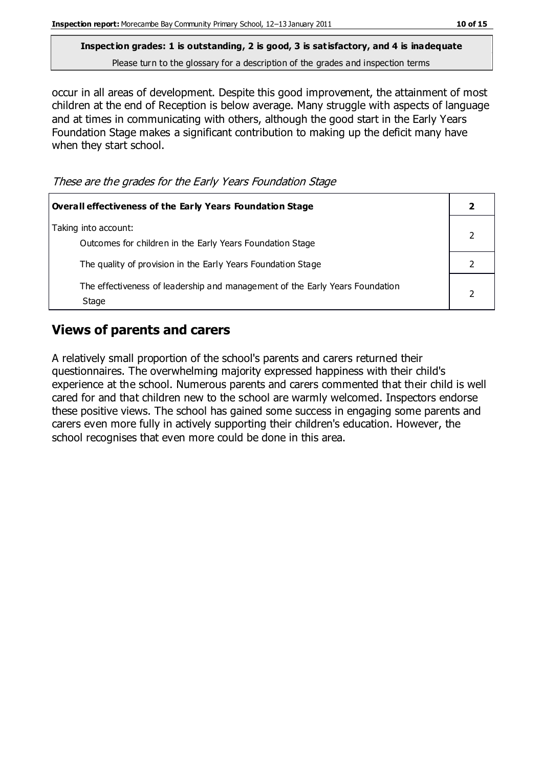occur in all areas of development. Despite this good improvement, the attainment of most children at the end of Reception is below average. Many struggle with aspects of language and at times in communicating with others, although the good start in the Early Years Foundation Stage makes a significant contribution to making up the deficit many have when they start school.

These are the grades for the Early Years Foundation Stage

| <b>Overall effectiveness of the Early Years Foundation Stage</b>                      |  |
|---------------------------------------------------------------------------------------|--|
| Taking into account:<br>Outcomes for children in the Early Years Foundation Stage     |  |
| The quality of provision in the Early Years Foundation Stage                          |  |
| The effectiveness of leadership and management of the Early Years Foundation<br>Stage |  |

# **Views of parents and carers**

A relatively small proportion of the school's parents and carers returned their questionnaires. The overwhelming majority expressed happiness with their child's experience at the school. Numerous parents and carers commented that their child is well cared for and that children new to the school are warmly welcomed. Inspectors endorse these positive views. The school has gained some success in engaging some parents and carers even more fully in actively supporting their children's education. However, the school recognises that even more could be done in this area.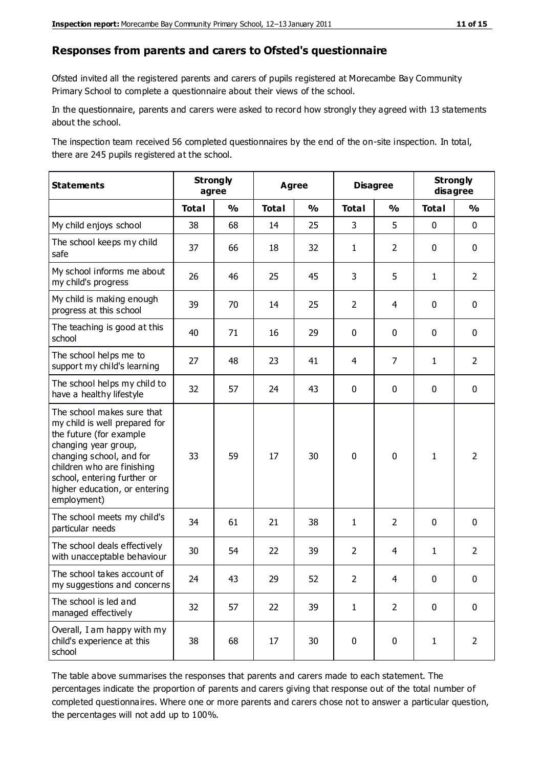#### **Responses from parents and carers to Ofsted's questionnaire**

Ofsted invited all the registered parents and carers of pupils registered at Morecambe Bay Community Primary School to complete a questionnaire about their views of the school.

In the questionnaire, parents and carers were asked to record how strongly they agreed with 13 statements about the school.

The inspection team received 56 completed questionnaires by the end of the on-site inspection. In total, there are 245 pupils registered at the school.

| <b>Statements</b>                                                                                                                                                                                                                                       | <b>Strongly</b><br>agree |               | Agree        |               | <b>Disagree</b> |                | <b>Strongly</b><br>disagree |                |
|---------------------------------------------------------------------------------------------------------------------------------------------------------------------------------------------------------------------------------------------------------|--------------------------|---------------|--------------|---------------|-----------------|----------------|-----------------------------|----------------|
|                                                                                                                                                                                                                                                         | <b>Total</b>             | $\frac{1}{2}$ | <b>Total</b> | $\frac{1}{2}$ | <b>Total</b>    | $\frac{0}{0}$  | <b>Total</b>                | $\frac{0}{0}$  |
| My child enjoys school                                                                                                                                                                                                                                  | 38                       | 68            | 14           | 25            | 3               | 5              | $\mathbf 0$                 | $\mathbf 0$    |
| The school keeps my child<br>safe                                                                                                                                                                                                                       | 37                       | 66            | 18           | 32            | $\mathbf{1}$    | $\overline{2}$ | $\mathbf 0$                 | $\mathbf 0$    |
| My school informs me about<br>my child's progress                                                                                                                                                                                                       | 26                       | 46            | 25           | 45            | 3               | 5              | $\mathbf{1}$                | $\overline{2}$ |
| My child is making enough<br>progress at this school                                                                                                                                                                                                    | 39                       | 70            | 14           | 25            | $\overline{2}$  | $\overline{4}$ | $\mathbf 0$                 | $\mathbf 0$    |
| The teaching is good at this<br>school                                                                                                                                                                                                                  | 40                       | 71            | 16           | 29            | 0               | $\mathbf 0$    | 0                           | $\mathbf 0$    |
| The school helps me to<br>support my child's learning                                                                                                                                                                                                   | 27                       | 48            | 23           | 41            | 4               | 7              | $\mathbf{1}$                | $\overline{2}$ |
| The school helps my child to<br>have a healthy lifestyle                                                                                                                                                                                                | 32                       | 57            | 24           | 43            | 0               | $\mathbf 0$    | $\mathbf 0$                 | $\mathbf 0$    |
| The school makes sure that<br>my child is well prepared for<br>the future (for example<br>changing year group,<br>changing school, and for<br>children who are finishing<br>school, entering further or<br>higher education, or entering<br>employment) | 33                       | 59            | 17           | 30            | $\mathbf 0$     | $\mathbf 0$    | $\mathbf{1}$                | $\overline{2}$ |
| The school meets my child's<br>particular needs                                                                                                                                                                                                         | 34                       | 61            | 21           | 38            | $\mathbf{1}$    | $\overline{2}$ | $\mathbf 0$                 | $\mathbf 0$    |
| The school deals effectively<br>with unacceptable behaviour                                                                                                                                                                                             | 30                       | 54            | 22           | 39            | $\overline{2}$  | $\overline{4}$ | $\mathbf{1}$                | $\overline{2}$ |
| The school takes account of<br>my suggestions and concerns                                                                                                                                                                                              | 24                       | 43            | 29           | 52            | 2               | 4              | $\mathbf{0}$                | $\mathbf{0}$   |
| The school is led and<br>managed effectively                                                                                                                                                                                                            | 32                       | 57            | 22           | 39            | $\mathbf{1}$    | $\overline{2}$ | $\mathbf 0$                 | $\mathbf 0$    |
| Overall, I am happy with my<br>child's experience at this<br>school                                                                                                                                                                                     | 38                       | 68            | 17           | 30            | $\pmb{0}$       | $\mathbf 0$    | $\mathbf{1}$                | $\overline{2}$ |

The table above summarises the responses that parents and carers made to each statement. The percentages indicate the proportion of parents and carers giving that response out of the total number of completed questionnaires. Where one or more parents and carers chose not to answer a particular question, the percentages will not add up to 100%.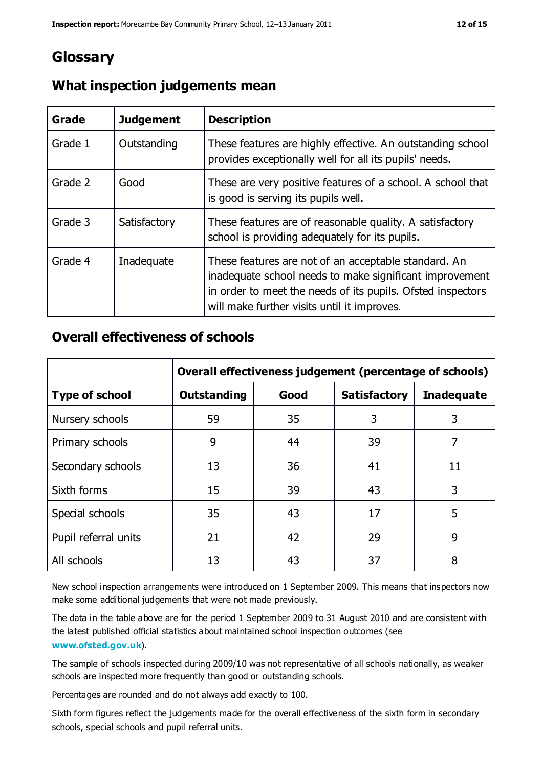# **Glossary**

| Grade   | <b>Judgement</b> | <b>Description</b>                                                                                                                                                                                                            |
|---------|------------------|-------------------------------------------------------------------------------------------------------------------------------------------------------------------------------------------------------------------------------|
| Grade 1 | Outstanding      | These features are highly effective. An outstanding school<br>provides exceptionally well for all its pupils' needs.                                                                                                          |
| Grade 2 | Good             | These are very positive features of a school. A school that<br>is good is serving its pupils well.                                                                                                                            |
| Grade 3 | Satisfactory     | These features are of reasonable quality. A satisfactory<br>school is providing adequately for its pupils.                                                                                                                    |
| Grade 4 | Inadequate       | These features are not of an acceptable standard. An<br>inadequate school needs to make significant improvement<br>in order to meet the needs of its pupils. Ofsted inspectors<br>will make further visits until it improves. |

## **What inspection judgements mean**

## **Overall effectiveness of schools**

|                       | Overall effectiveness judgement (percentage of schools) |      |                     |                   |
|-----------------------|---------------------------------------------------------|------|---------------------|-------------------|
| <b>Type of school</b> | <b>Outstanding</b>                                      | Good | <b>Satisfactory</b> | <b>Inadequate</b> |
| Nursery schools       | 59                                                      | 35   | 3                   | 3                 |
| Primary schools       | 9                                                       | 44   | 39                  | 7                 |
| Secondary schools     | 13                                                      | 36   | 41                  | 11                |
| Sixth forms           | 15                                                      | 39   | 43                  | 3                 |
| Special schools       | 35                                                      | 43   | 17                  | 5                 |
| Pupil referral units  | 21                                                      | 42   | 29                  | 9                 |
| All schools           | 13                                                      | 43   | 37                  | 8                 |

New school inspection arrangements were introduced on 1 September 2009. This means that inspectors now make some additional judgements that were not made previously.

The data in the table above are for the period 1 September 2009 to 31 August 2010 and are consistent with the latest published official statistics about maintained school inspection outcomes (see **[www.ofsted.gov.uk](http://www.ofsted.gov.uk/)**).

The sample of schools inspected during 2009/10 was not representative of all schools nationally, as weaker schools are inspected more frequently than good or outstanding schools.

Percentages are rounded and do not always add exactly to 100.

Sixth form figures reflect the judgements made for the overall effectiveness of the sixth form in secondary schools, special schools and pupil referral units.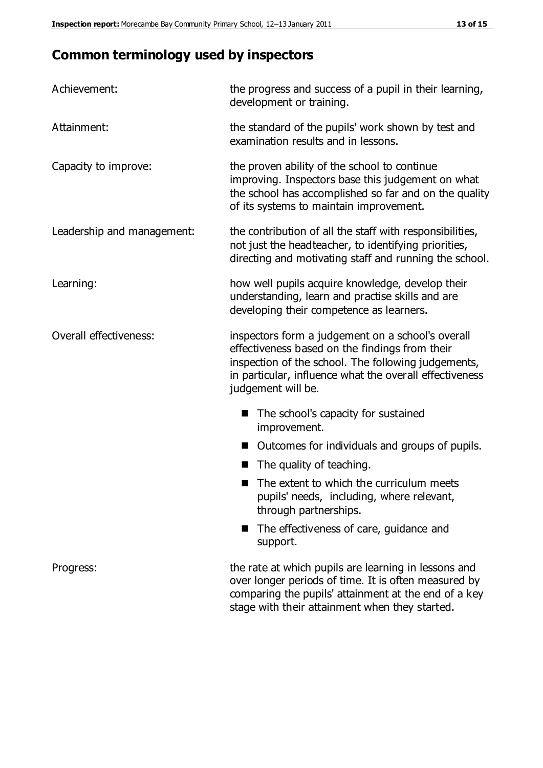# **Common terminology used by inspectors**

| Achievement:               | the progress and success of a pupil in their learning,<br>development or training.                                                                                                                                                          |  |  |
|----------------------------|---------------------------------------------------------------------------------------------------------------------------------------------------------------------------------------------------------------------------------------------|--|--|
| Attainment:                | the standard of the pupils' work shown by test and<br>examination results and in lessons.                                                                                                                                                   |  |  |
| Capacity to improve:       | the proven ability of the school to continue<br>improving. Inspectors base this judgement on what<br>the school has accomplished so far and on the quality<br>of its systems to maintain improvement.                                       |  |  |
| Leadership and management: | the contribution of all the staff with responsibilities,<br>not just the headteacher, to identifying priorities,<br>directing and motivating staff and running the school.                                                                  |  |  |
| Learning:                  | how well pupils acquire knowledge, develop their<br>understanding, learn and practise skills and are<br>developing their competence as learners.                                                                                            |  |  |
| Overall effectiveness:     | inspectors form a judgement on a school's overall<br>effectiveness based on the findings from their<br>inspection of the school. The following judgements,<br>in particular, influence what the overall effectiveness<br>judgement will be. |  |  |
|                            | The school's capacity for sustained<br>improvement.                                                                                                                                                                                         |  |  |
|                            | Outcomes for individuals and groups of pupils.                                                                                                                                                                                              |  |  |
|                            | The quality of teaching.                                                                                                                                                                                                                    |  |  |
|                            | The extent to which the curriculum meets<br>pupils' needs, including, where relevant,<br>through partnerships.                                                                                                                              |  |  |
|                            | The effectiveness of care, guidance and<br>support.                                                                                                                                                                                         |  |  |
| Progress:                  | the rate at which pupils are learning in lessons and<br>over longer periods of time. It is often measured by<br>comparing the pupils' attainment at the end of a key                                                                        |  |  |

stage with their attainment when they started.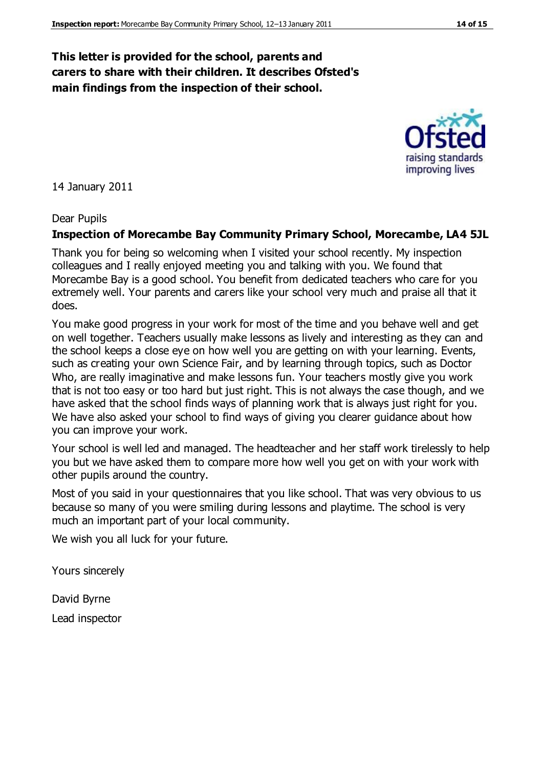## **This letter is provided for the school, parents and carers to share with their children. It describes Ofsted's main findings from the inspection of their school.**

14 January 2011

#### Dear Pupils

#### **Inspection of Morecambe Bay Community Primary School, Morecambe, LA4 5JL**

Thank you for being so welcoming when I visited your school recently. My inspection colleagues and I really enjoyed meeting you and talking with you. We found that Morecambe Bay is a good school. You benefit from dedicated teachers who care for you extremely well. Your parents and carers like your school very much and praise all that it does.

You make good progress in your work for most of the time and you behave well and get on well together. Teachers usually make lessons as lively and interesting as they can and the school keeps a close eye on how well you are getting on with your learning. Events, such as creating your own Science Fair, and by learning through topics, such as Doctor Who, are really imaginative and make lessons fun. Your teachers mostly give you work that is not too easy or too hard but just right. This is not always the case though, and we have asked that the school finds ways of planning work that is always just right for you. We have also asked your school to find ways of giving you clearer guidance about how you can improve your work.

Your school is well led and managed. The headteacher and her staff work tirelessly to help you but we have asked them to compare more how well you get on with your work with other pupils around the country.

Most of you said in your questionnaires that you like school. That was very obvious to us because so many of you were smiling during lessons and playtime. The school is very much an important part of your local community.

We wish you all luck for your future.

Yours sincerely

David Byrne Lead inspector